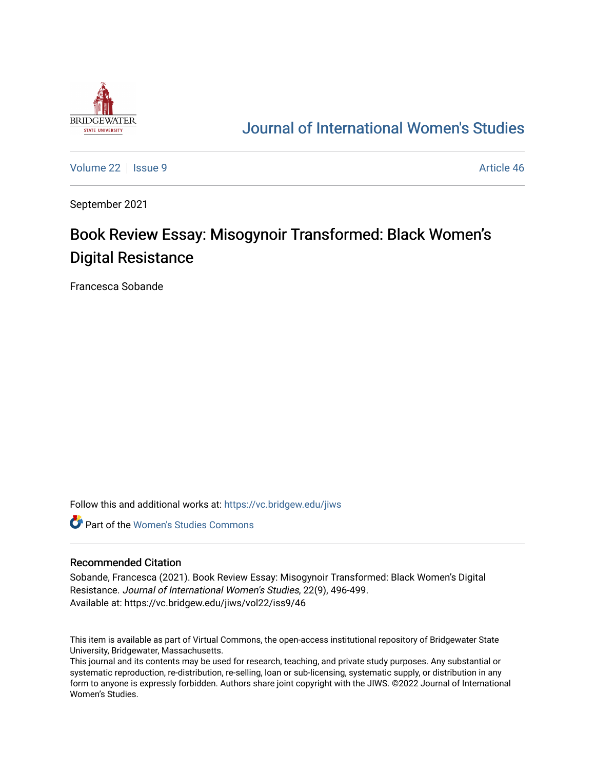

## [Journal of International Women's Studies](https://vc.bridgew.edu/jiws)

[Volume 22](https://vc.bridgew.edu/jiws/vol22) | [Issue 9](https://vc.bridgew.edu/jiws/vol22/iss9) Article 46

September 2021

## Book Review Essay: Misogynoir Transformed: Black Women's Digital Resistance

Francesca Sobande

Follow this and additional works at: [https://vc.bridgew.edu/jiws](https://vc.bridgew.edu/jiws?utm_source=vc.bridgew.edu%2Fjiws%2Fvol22%2Fiss9%2F46&utm_medium=PDF&utm_campaign=PDFCoverPages)

**C** Part of the Women's Studies Commons

## Recommended Citation

Sobande, Francesca (2021). Book Review Essay: Misogynoir Transformed: Black Women's Digital Resistance. Journal of International Women's Studies, 22(9), 496-499. Available at: https://vc.bridgew.edu/jiws/vol22/iss9/46

This item is available as part of Virtual Commons, the open-access institutional repository of Bridgewater State University, Bridgewater, Massachusetts.

This journal and its contents may be used for research, teaching, and private study purposes. Any substantial or systematic reproduction, re-distribution, re-selling, loan or sub-licensing, systematic supply, or distribution in any form to anyone is expressly forbidden. Authors share joint copyright with the JIWS. ©2022 Journal of International Women's Studies.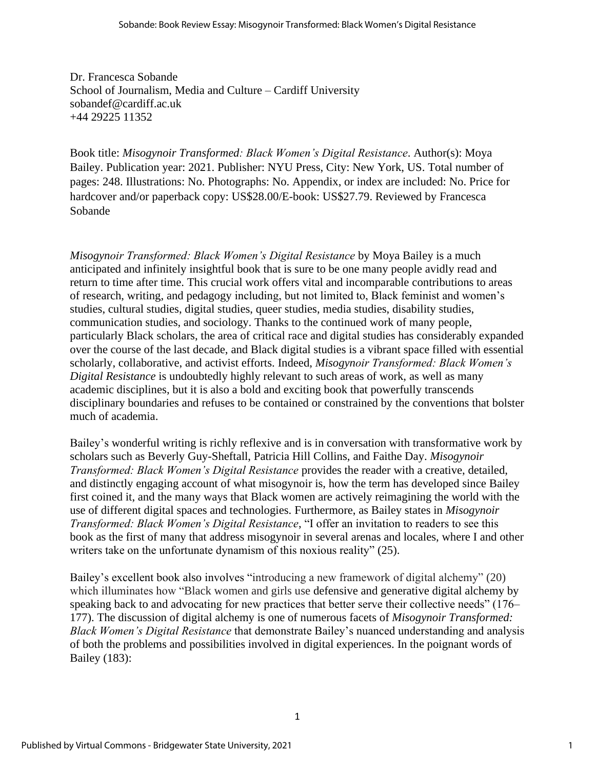Dr. Francesca Sobande School of Journalism, Media and Culture – Cardiff University sobandef@cardiff.ac.uk +44 29225 11352

Book title: *Misogynoir Transformed: Black Women's Digital Resistance*. Author(s): Moya Bailey. Publication year: 2021. Publisher: NYU Press, City: New York, US. Total number of pages: 248. Illustrations: No. Photographs: No. Appendix, or index are included: No. Price for hardcover and/or paperback copy: US\$28.00/E-book: US\$27.79. Reviewed by Francesca Sobande

*Misogynoir Transformed: Black Women's Digital Resistance* by Moya Bailey is a much anticipated and infinitely insightful book that is sure to be one many people avidly read and return to time after time. This crucial work offers vital and incomparable contributions to areas of research, writing, and pedagogy including, but not limited to, Black feminist and women's studies, cultural studies, digital studies, queer studies, media studies, disability studies, communication studies, and sociology. Thanks to the continued work of many people, particularly Black scholars, the area of critical race and digital studies has considerably expanded over the course of the last decade, and Black digital studies is a vibrant space filled with essential scholarly, collaborative, and activist efforts. Indeed, *Misogynoir Transformed: Black Women's Digital Resistance* is undoubtedly highly relevant to such areas of work, as well as many academic disciplines, but it is also a bold and exciting book that powerfully transcends disciplinary boundaries and refuses to be contained or constrained by the conventions that bolster much of academia.

Bailey's wonderful writing is richly reflexive and is in conversation with transformative work by scholars such as Beverly Guy-Sheftall, Patricia Hill Collins, and Faithe Day. *Misogynoir Transformed: Black Women's Digital Resistance* provides the reader with a creative, detailed, and distinctly engaging account of what misogynoir is, how the term has developed since Bailey first coined it, and the many ways that Black women are actively reimagining the world with the use of different digital spaces and technologies. Furthermore, as Bailey states in *Misogynoir Transformed: Black Women's Digital Resistance*, "I offer an invitation to readers to see this book as the first of many that address misogynoir in several arenas and locales, where I and other writers take on the unfortunate dynamism of this noxious reality" (25).

Bailey's excellent book also involves "introducing a new framework of digital alchemy" (20) which illuminates how "Black women and girls use defensive and generative digital alchemy by speaking back to and advocating for new practices that better serve their collective needs" (176– 177). The discussion of digital alchemy is one of numerous facets of *Misogynoir Transformed: Black Women's Digital Resistance* that demonstrate Bailey's nuanced understanding and analysis of both the problems and possibilities involved in digital experiences. In the poignant words of Bailey (183):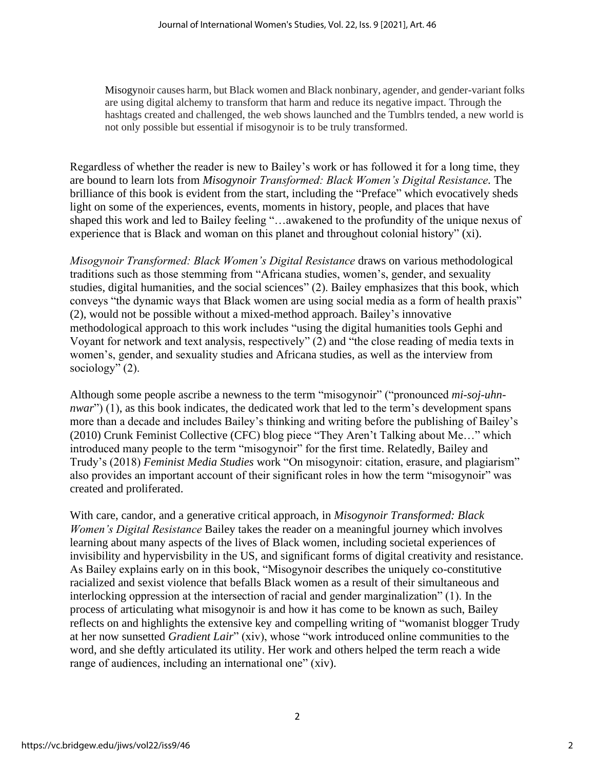Misogynoir causes harm, but Black women and Black nonbinary, agender, and gender-variant folks are using digital alchemy to transform that harm and reduce its negative impact. Through the hashtags created and challenged, the web shows launched and the Tumblrs tended, a new world is not only possible but essential if misogynoir is to be truly transformed.

Regardless of whether the reader is new to Bailey's work or has followed it for a long time, they are bound to learn lots from *Misogynoir Transformed: Black Women's Digital Resistance.* The brilliance of this book is evident from the start, including the "Preface" which evocatively sheds light on some of the experiences, events, moments in history, people, and places that have shaped this work and led to Bailey feeling "…awakened to the profundity of the unique nexus of experience that is Black and woman on this planet and throughout colonial history" (xi).

*Misogynoir Transformed: Black Women's Digital Resistance* draws on various methodological traditions such as those stemming from "Africana studies, women's, gender, and sexuality studies, digital humanities, and the social sciences" (2). Bailey emphasizes that this book, which conveys "the dynamic ways that Black women are using social media as a form of health praxis" (2), would not be possible without a mixed-method approach. Bailey's innovative methodological approach to this work includes "using the digital humanities tools Gephi and Voyant for network and text analysis, respectively" (2) and "the close reading of media texts in women's, gender, and sexuality studies and Africana studies, as well as the interview from sociology" (2).

Although some people ascribe a newness to the term "misogynoir" ("pronounced *mi-soj-uhnnwar*") (1), as this book indicates, the dedicated work that led to the term's development spans more than a decade and includes Bailey's thinking and writing before the publishing of Bailey's (2010) Crunk Feminist Collective (CFC) blog piece "They Aren't Talking about Me…" which introduced many people to the term "misogynoir" for the first time. Relatedly, Bailey and Trudy's (2018) *Feminist Media Studies* work "On misogynoir: citation, erasure, and plagiarism" also provides an important account of their significant roles in how the term "misogynoir" was created and proliferated.

With care, candor, and a generative critical approach, in *Misogynoir Transformed: Black Women's Digital Resistance* Bailey takes the reader on a meaningful journey which involves learning about many aspects of the lives of Black women, including societal experiences of invisibility and hypervisbility in the US, and significant forms of digital creativity and resistance. As Bailey explains early on in this book, "Misogynoir describes the uniquely co-constitutive racialized and sexist violence that befalls Black women as a result of their simultaneous and interlocking oppression at the intersection of racial and gender marginalization" (1). In the process of articulating what misogynoir is and how it has come to be known as such, Bailey reflects on and highlights the extensive key and compelling writing of "womanist blogger Trudy at her now sunsetted *Gradient Lair*" (xiv), whose "work introduced online communities to the word, and she deftly articulated its utility. Her work and others helped the term reach a wide range of audiences, including an international one" (xiv).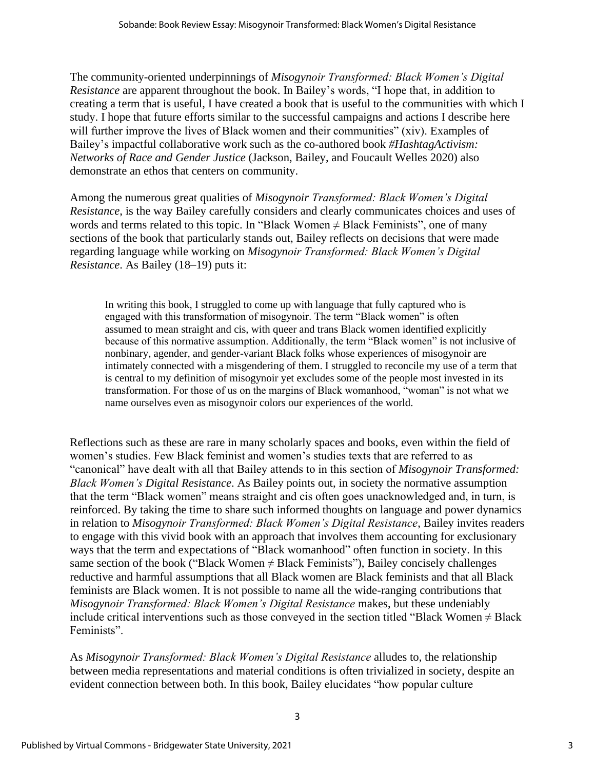The community-oriented underpinnings of *Misogynoir Transformed: Black Women's Digital Resistance* are apparent throughout the book. In Bailey's words, "I hope that, in addition to creating a term that is useful, I have created a book that is useful to the communities with which I study. I hope that future efforts similar to the successful campaigns and actions I describe here will further improve the lives of Black women and their communities" (xiv). Examples of Bailey's impactful collaborative work such as the co-authored book *#HashtagActivism: Networks of Race and Gender Justice* (Jackson, Bailey, and Foucault Welles 2020) also demonstrate an ethos that centers on community.

Among the numerous great qualities of *Misogynoir Transformed: Black Women's Digital Resistance*, is the way Bailey carefully considers and clearly communicates choices and uses of words and terms related to this topic. In "Black Women  $\neq$  Black Feminists", one of many sections of the book that particularly stands out, Bailey reflects on decisions that were made regarding language while working on *Misogynoir Transformed: Black Women's Digital Resistance*. As Bailey (18–19) puts it:

In writing this book, I struggled to come up with language that fully captured who is engaged with this transformation of misogynoir. The term "Black women" is often assumed to mean straight and cis, with queer and trans Black women identified explicitly because of this normative assumption. Additionally, the term "Black women" is not inclusive of nonbinary, agender, and gender-variant Black folks whose experiences of misogynoir are intimately connected with a misgendering of them. I struggled to reconcile my use of a term that is central to my definition of misogynoir yet excludes some of the people most invested in its transformation. For those of us on the margins of Black womanhood, "woman" is not what we name ourselves even as misogynoir colors our experiences of the world.

Reflections such as these are rare in many scholarly spaces and books, even within the field of women's studies. Few Black feminist and women's studies texts that are referred to as "canonical" have dealt with all that Bailey attends to in this section of *Misogynoir Transformed: Black Women's Digital Resistance*. As Bailey points out, in society the normative assumption that the term "Black women" means straight and cis often goes unacknowledged and, in turn, is reinforced. By taking the time to share such informed thoughts on language and power dynamics in relation to *Misogynoir Transformed: Black Women's Digital Resistance*, Bailey invites readers to engage with this vivid book with an approach that involves them accounting for exclusionary ways that the term and expectations of "Black womanhood" often function in society. In this same section of the book ("Black Women  $\neq$  Black Feminists"), Bailey concisely challenges reductive and harmful assumptions that all Black women are Black feminists and that all Black feminists are Black women. It is not possible to name all the wide-ranging contributions that *Misogynoir Transformed: Black Women's Digital Resistance makes, but these undeniably* include critical interventions such as those conveyed in the section titled "Black Women  $\neq$  Black Feminists".

As *Misogynoir Transformed: Black Women's Digital Resistance* alludes to, the relationship between media representations and material conditions is often trivialized in society, despite an evident connection between both. In this book, Bailey elucidates "how popular culture